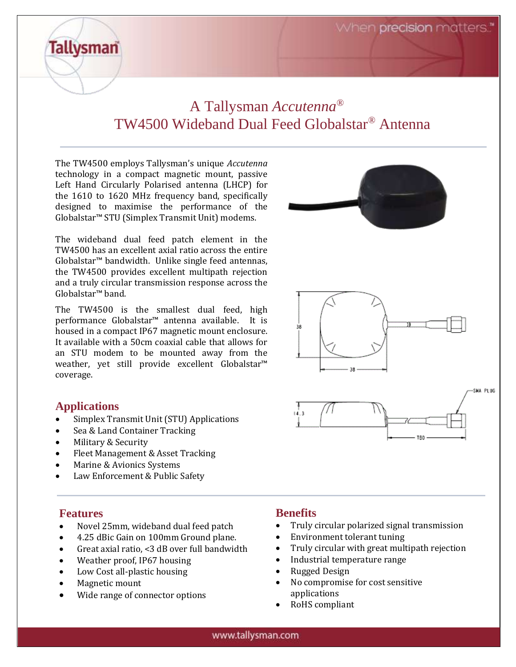When precision matters.

## A Tallysman *Accutenna®* TW4500 Wideband Dual Feed Globalstar*®* Antenna

The TW4500 employs Tallysman's unique *Accutenna* technology in a compact magnetic mount, passive Left Hand Circularly Polarised antenna (LHCP) for the 1610 to 1620 MHz frequency band, specifically designed to maximise the performance of the Globalstar™ STU (Simplex Transmit Unit) modems.

The wideband dual feed patch element in the TW4500 has an excellent axial ratio across the entire Globalstar™ bandwidth. Unlike single feed antennas, the TW4500 provides excellent multipath rejection and a truly circular transmission response across the Globalstar™ band.

The TW4500 is the smallest dual feed, high performance Globalstar™ antenna available. It is housed in a compact IP67 magnetic mount enclosure. It available with a 50cm coaxial cable that allows for an STU modem to be mounted away from the weather, yet still provide excellent Globalstar™ coverage.

#### **Applications**

**Tallysman** 

- Simplex Transmit Unit (STU) Applications
- Sea & Land Container Tracking
- Military & Security
- Fleet Management & Asset Tracking
- Marine & Avionics Systems
- Law Enforcement & Public Safety

#### **Features**

- Novel 25mm, wideband dual feed patch
- 4.25 dBic Gain on 100mm Ground plane.
- Great axial ratio, <3 dB over full bandwidth
- Weather proof, IP67 housing
- Low Cost all-plastic housing
- Magnetic mount
- Wide range of connector options

#### **Benefits**

- Truly circular polarized signal transmission
- Environment tolerant tuning
- Truly circular with great multipath rejection
- Industrial temperature range
- Rugged Design
- No compromise for cost sensitive applications
- RoHS compliant



#### www.tallysman.com